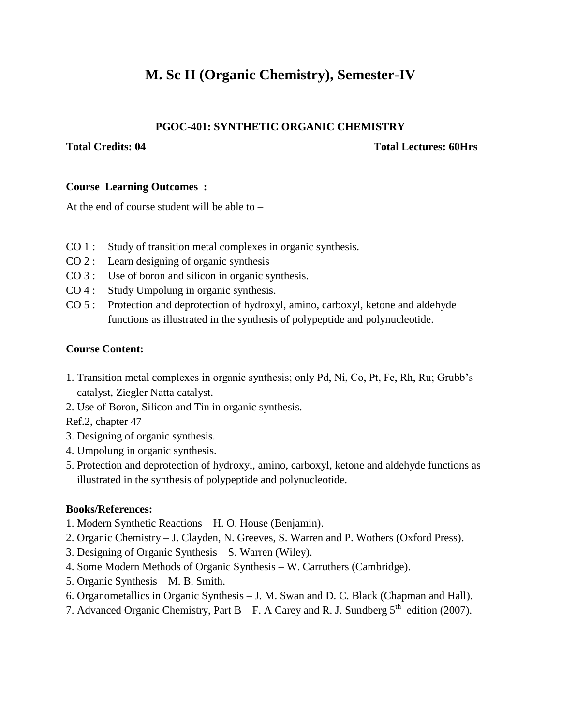# **M. Sc II (Organic Chemistry), Semester-IV**

### **PGOC-401: SYNTHETIC ORGANIC CHEMISTRY**

#### **Total Credits: 04 Total Lectures: 60Hrs**

### **Course Learning Outcomes :**

At the end of course student will be able to –

- CO 1 : Study of transition metal complexes in organic synthesis.
- CO 2 : Learn designing of organic synthesis
- CO 3 : Use of boron and silicon in organic synthesis.
- CO 4 : Study Umpolung in organic synthesis.
- CO 5 : Protection and deprotection of hydroxyl, amino, carboxyl, ketone and aldehyde functions as illustrated in the synthesis of polypeptide and polynucleotide.

### **Course Content:**

- 1. Transition metal complexes in organic synthesis; only Pd, Ni, Co, Pt, Fe, Rh, Ru; Grubb's catalyst, Ziegler Natta catalyst.
- 2. Use of Boron, Silicon and Tin in organic synthesis.

Ref.2, chapter 47

- 3. Designing of organic synthesis.
- 4. Umpolung in organic synthesis.
- 5. Protection and deprotection of hydroxyl, amino, carboxyl, ketone and aldehyde functions as illustrated in the synthesis of polypeptide and polynucleotide.

# **Books/References:**

- 1. Modern Synthetic Reactions H. O. House (Benjamin).
- 2. Organic Chemistry J. Clayden, N. Greeves, S. Warren and P. Wothers (Oxford Press).
- 3. Designing of Organic Synthesis S. Warren (Wiley).
- 4. Some Modern Methods of Organic Synthesis W. Carruthers (Cambridge).
- 5. Organic Synthesis M. B. Smith.
- 6. Organometallics in Organic Synthesis J. M. Swan and D. C. Black (Chapman and Hall).
- 7. Advanced Organic Chemistry, Part B F. A Carey and R. J. Sundberg  $5<sup>th</sup>$  edition (2007).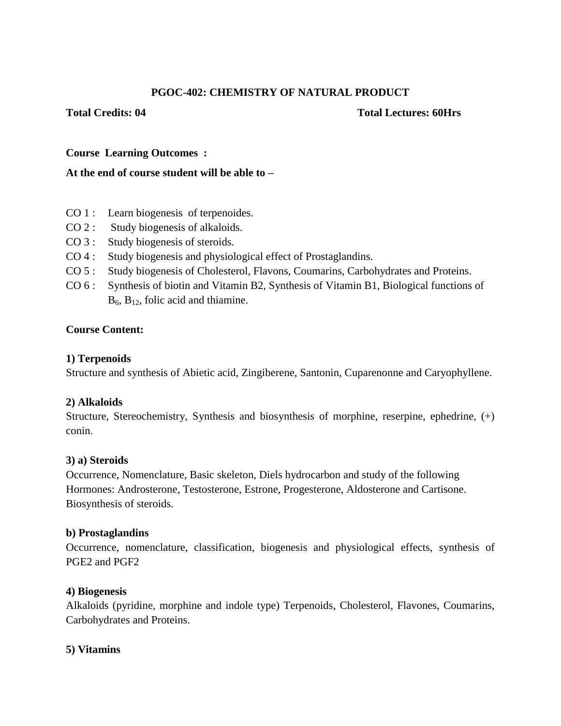# **PGOC-402: CHEMISTRY OF NATURAL PRODUCT**

#### **Total Credits: 04 Total Lectures: 60Hrs**

### **Course Learning Outcomes :**

#### **At the end of course student will be able to –**

- CO 1 : Learn biogenesis of terpenoides.
- CO 2 : Study biogenesis of alkaloids.
- CO 3 : Study biogenesis of steroids.
- CO 4 : Study biogenesis and physiological effect of Prostaglandins.
- CO 5 : Study biogenesis of Cholesterol, Flavons, Coumarins, Carbohydrates and Proteins.
- CO 6 : Synthesis of biotin and Vitamin B2, Synthesis of Vitamin B1, Biological functions of  $B_6$ ,  $B_{12}$ , folic acid and thiamine.

### **Course Content:**

# **1) Terpenoids**

Structure and synthesis of Abietic acid, Zingiberene, Santonin, Cuparenonne and Caryophyllene.

#### **2) Alkaloids**

Structure, Stereochemistry, Synthesis and biosynthesis of morphine, reserpine, ephedrine, (+) conin.

#### **3) a) Steroids**

Occurrence, Nomenclature, Basic skeleton, Diels hydrocarbon and study of the following Hormones: Androsterone, Testosterone, Estrone, Progesterone, Aldosterone and Cartisone. Biosynthesis of steroids.

#### **b) Prostaglandins**

Occurrence, nomenclature, classification, biogenesis and physiological effects, synthesis of PGE2 and PGF2

#### **4) Biogenesis**

Alkaloids (pyridine, morphine and indole type) Terpenoids, Cholesterol, Flavones, Coumarins, Carbohydrates and Proteins.

#### **5) Vitamins**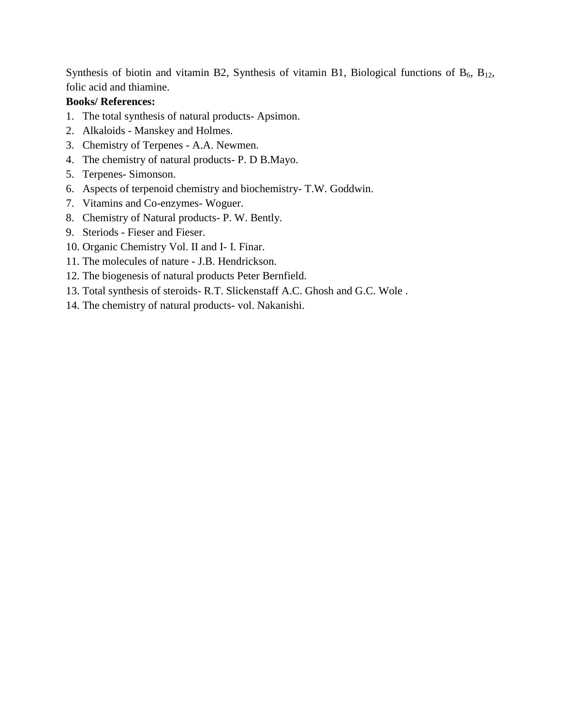Synthesis of biotin and vitamin B2, Synthesis of vitamin B1, Biological functions of  $B_6$ ,  $B_{12}$ , folic acid and thiamine.

# **Books/ References:**

- 1. The total synthesis of natural products- Apsimon.
- 2. Alkaloids Manskey and Holmes.
- 3. Chemistry of Terpenes A.A. Newmen.
- 4. The chemistry of natural products- P. D B.Mayo.
- 5. Terpenes- Simonson.
- 6. Aspects of terpenoid chemistry and biochemistry- T.W. Goddwin.
- 7. Vitamins and Co-enzymes- Woguer.
- 8. Chemistry of Natural products- P. W. Bently.
- 9. Steriods Fieser and Fieser.
- 10. Organic Chemistry Vol. II and I- I. Finar.
- 11. The molecules of nature J.B. Hendrickson.
- 12. The biogenesis of natural products Peter Bernfield.
- 13. Total synthesis of steroids- R.T. Slickenstaff A.C. Ghosh and G.C. Wole .
- 14. The chemistry of natural products- vol. Nakanishi.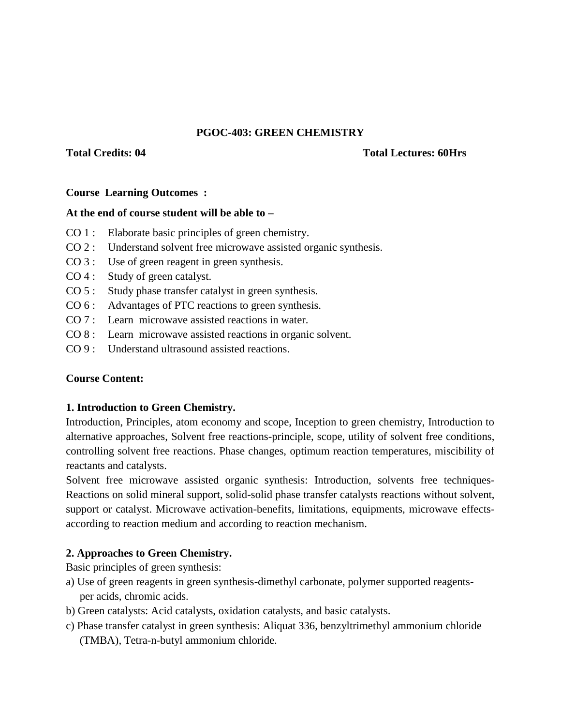#### **PGOC-403: GREEN CHEMISTRY**

#### **Total Credits: 04 Total Lectures: 60Hrs**

#### **Course Learning Outcomes :**

#### **At the end of course student will be able to –**

- CO 1 : Elaborate basic principles of green chemistry.
- CO 2 : Understand solvent free microwave assisted organic synthesis.
- CO 3 : Use of green reagent in green synthesis.
- CO 4 : Study of green catalyst.
- CO 5 : Study phase transfer catalyst in green synthesis.
- CO 6 : Advantages of PTC reactions to green synthesis.
- CO 7 : Learn microwave assisted reactions in water.
- CO 8 : Learn microwave assisted reactions in organic solvent.
- CO 9 : Understand ultrasound assisted reactions.

#### **Course Content:**

#### **1. Introduction to Green Chemistry.**

Introduction, Principles, atom economy and scope, Inception to green chemistry, Introduction to alternative approaches, Solvent free reactions-principle, scope, utility of solvent free conditions, controlling solvent free reactions. Phase changes, optimum reaction temperatures, miscibility of reactants and catalysts.

Solvent free microwave assisted organic synthesis: Introduction, solvents free techniques-Reactions on solid mineral support, solid-solid phase transfer catalysts reactions without solvent, support or catalyst. Microwave activation-benefits, limitations, equipments, microwave effectsaccording to reaction medium and according to reaction mechanism.

#### **2. Approaches to Green Chemistry.**

Basic principles of green synthesis:

- a) Use of green reagents in green synthesis-dimethyl carbonate, polymer supported reagents per acids, chromic acids.
- b) Green catalysts: Acid catalysts, oxidation catalysts, and basic catalysts.
- c) Phase transfer catalyst in green synthesis: Aliquat 336, benzyltrimethyl ammonium chloride (TMBA), Tetra-n-butyl ammonium chloride.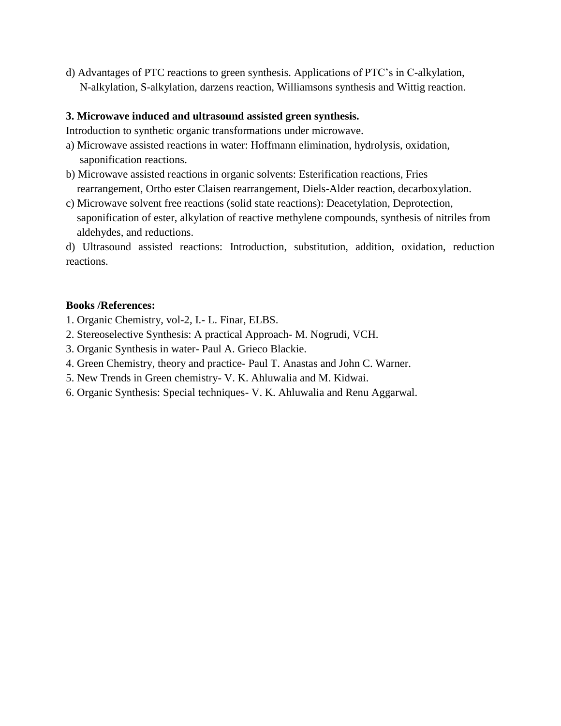d) Advantages of PTC reactions to green synthesis. Applications of PTC's in C-alkylation, N-alkylation, S-alkylation, darzens reaction, Williamsons synthesis and Wittig reaction.

# **3. Microwave induced and ultrasound assisted green synthesis.**

Introduction to synthetic organic transformations under microwave.

- a) Microwave assisted reactions in water: Hoffmann elimination, hydrolysis, oxidation, saponification reactions.
- b) Microwave assisted reactions in organic solvents: Esterification reactions, Fries rearrangement, Ortho ester Claisen rearrangement, Diels-Alder reaction, decarboxylation.
- c) Microwave solvent free reactions (solid state reactions): Deacetylation, Deprotection, saponification of ester, alkylation of reactive methylene compounds, synthesis of nitriles from aldehydes, and reductions.

d) Ultrasound assisted reactions: Introduction, substitution, addition, oxidation, reduction reactions.

#### **Books /References:**

- 1. Organic Chemistry, vol-2, I.- L. Finar, ELBS.
- 2. Stereoselective Synthesis: A practical Approach- M. Nogrudi, VCH.
- 3. Organic Synthesis in water- Paul A. Grieco Blackie.
- 4. Green Chemistry, theory and practice- Paul T. Anastas and John C. Warner.
- 5. New Trends in Green chemistry- V. K. Ahluwalia and M. Kidwai.
- 6. Organic Synthesis: Special techniques- V. K. Ahluwalia and Renu Aggarwal.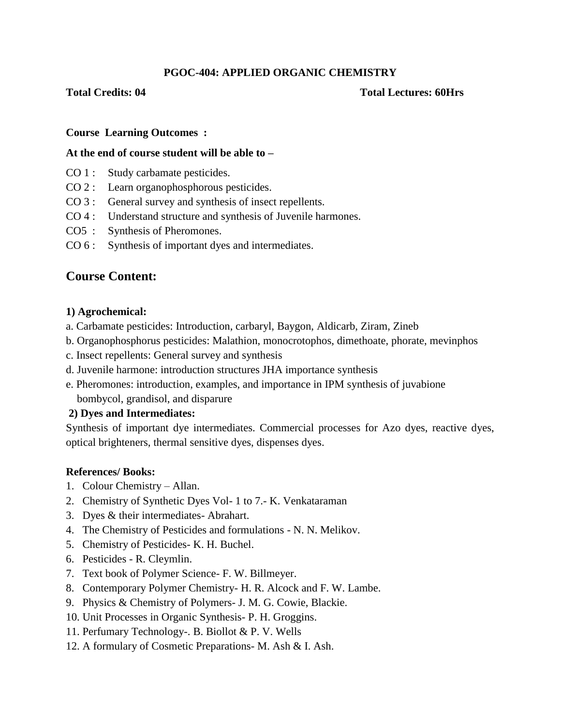# **PGOC-404: APPLIED ORGANIC CHEMISTRY**

#### **Total Credits: 04 Total Lectures: 60Hrs**

#### **Course Learning Outcomes :**

#### **At the end of course student will be able to –**

- CO 1 : Study carbamate pesticides.
- CO 2 : Learn organophosphorous pesticides.
- CO 3 : General survey and synthesis of insect repellents.
- CO 4 : Understand structure and synthesis of Juvenile harmones.
- CO5 : Synthesis of Pheromones.
- CO 6 : Synthesis of important dyes and intermediates.

# **Course Content:**

### **1) Agrochemical:**

- a. Carbamate pesticides: Introduction, carbaryl, Baygon, Aldicarb, Ziram, Zineb
- b. Organophosphorus pesticides: Malathion, monocrotophos, dimethoate, phorate, mevinphos
- c. Insect repellents: General survey and synthesis
- d. Juvenile harmone: introduction structures JHA importance synthesis
- e. Pheromones: introduction, examples, and importance in IPM synthesis of juvabione bombycol, grandisol, and disparure

# **2) Dyes and Intermediates:**

Synthesis of important dye intermediates. Commercial processes for Azo dyes, reactive dyes, optical brighteners, thermal sensitive dyes, dispenses dyes.

#### **References/ Books:**

- 1. Colour Chemistry Allan.
- 2. Chemistry of Synthetic Dyes Vol- 1 to 7.- K. Venkataraman
- 3. Dyes & their intermediates- Abrahart.
- 4. The Chemistry of Pesticides and formulations N. N. Melikov.
- 5. Chemistry of Pesticides- K. H. Buchel.
- 6. Pesticides R. Cleymlin.
- 7. Text book of Polymer Science- F. W. Billmeyer.
- 8. Contemporary Polymer Chemistry- H. R. Alcock and F. W. Lambe.
- 9. Physics & Chemistry of Polymers- J. M. G. Cowie, Blackie.
- 10. Unit Processes in Organic Synthesis- P. H. Groggins.
- 11. Perfumary Technology-. B. Biollot & P. V. Wells
- 12. A formulary of Cosmetic Preparations- M. Ash & I. Ash.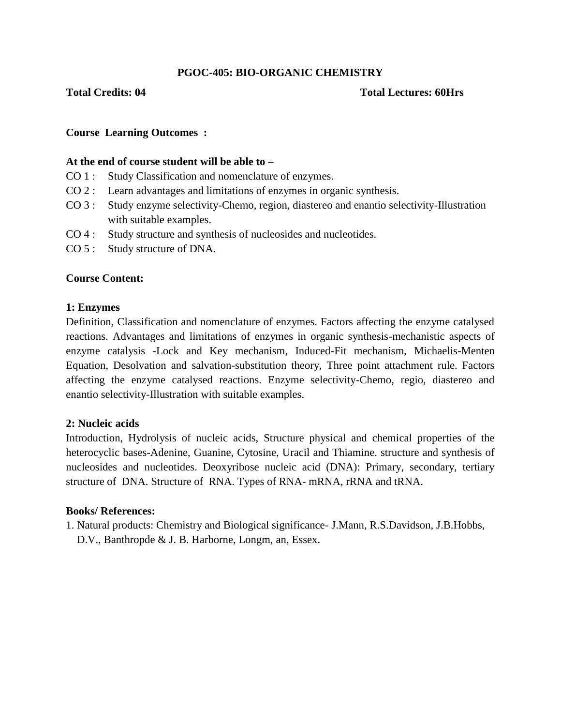# **PGOC-405: BIO-ORGANIC CHEMISTRY**

#### **Total Credits: 04 Total Lectures: 60Hrs**

#### **Course Learning Outcomes :**

#### **At the end of course student will be able to –**

- CO 1 : Study Classification and nomenclature of enzymes.
- CO 2 : Learn advantages and limitations of enzymes in organic synthesis.
- CO 3 : Study enzyme selectivity-Chemo, region, diastereo and enantio selectivity-Illustration with suitable examples.
- CO 4 : Study structure and synthesis of nucleosides and nucleotides.
- CO 5 : Study structure of DNA.

#### **Course Content:**

#### **1: Enzymes**

Definition, Classification and nomenclature of enzymes. Factors affecting the enzyme catalysed reactions. Advantages and limitations of enzymes in organic synthesis-mechanistic aspects of enzyme catalysis -Lock and Key mechanism, Induced-Fit mechanism, Michaelis-Menten Equation, Desolvation and salvation-substitution theory, Three point attachment rule. Factors affecting the enzyme catalysed reactions. Enzyme selectivity-Chemo, regio, diastereo and enantio selectivity-Illustration with suitable examples.

#### **2: Nucleic acids**

Introduction, Hydrolysis of nucleic acids, Structure physical and chemical properties of the heterocyclic bases-Adenine, Guanine, Cytosine, Uracil and Thiamine. structure and synthesis of nucleosides and nucleotides. Deoxyribose nucleic acid (DNA): Primary, secondary, tertiary structure of DNA. Structure of RNA. Types of RNA- mRNA, rRNA and tRNA.

#### **Books/ References:**

1. Natural products: Chemistry and Biological significance- J.Mann, R.S.Davidson, J.B.Hobbs, D.V., Banthropde & J. B. Harborne, Longm, an, Essex.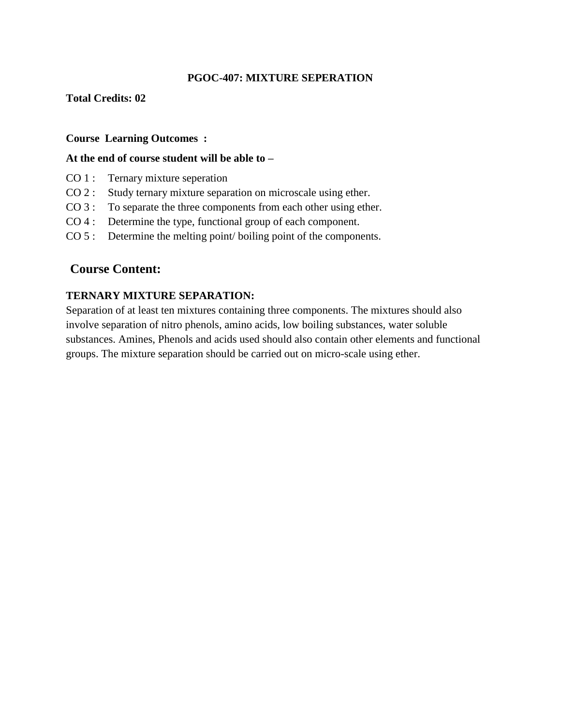# **PGOC-407: MIXTURE SEPERATION**

### **Total Credits: 02**

#### **Course Learning Outcomes :**

#### **At the end of course student will be able to –**

- CO 1 : Ternary mixture seperation
- CO 2 : Study ternary mixture separation on microscale using ether.
- CO 3 : To separate the three components from each other using ether.
- CO 4 : Determine the type, functional group of each component.
- CO 5 : Determine the melting point/ boiling point of the components.

# **Course Content:**

#### **TERNARY MIXTURE SEPARATION:**

Separation of at least ten mixtures containing three components. The mixtures should also involve separation of nitro phenols, amino acids, low boiling substances, water soluble substances. Amines, Phenols and acids used should also contain other elements and functional groups. The mixture separation should be carried out on micro-scale using ether.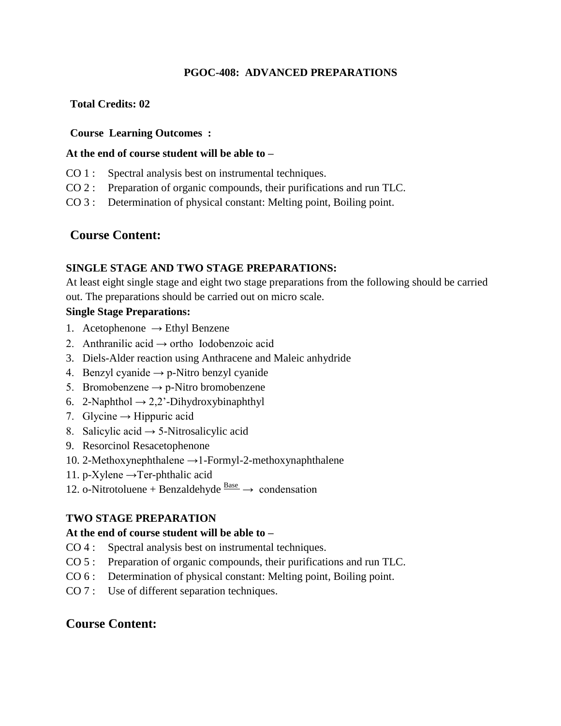# **PGOC-408: ADVANCED PREPARATIONS**

# **Total Credits: 02**

# **Course Learning Outcomes :**

# **At the end of course student will be able to –**

- CO 1 : Spectral analysis best on instrumental techniques.
- CO 2 : Preparation of organic compounds, their purifications and run TLC.
- CO 3 : Determination of physical constant: Melting point, Boiling point.

# **Course Content:**

# **SINGLE STAGE AND TWO STAGE PREPARATIONS:**

At least eight single stage and eight two stage preparations from the following should be carried out. The preparations should be carried out on micro scale.

# **Single Stage Preparations:**

- 1. Acetophenone  $\rightarrow$  Ethyl Benzene
- 2. Anthranilic acid  $\rightarrow$  ortho Iodobenzoic acid
- 3. Diels-Alder reaction using Anthracene and Maleic anhydride
- 4. Benzyl cyanide  $\rightarrow$  p-Nitro benzyl cyanide
- 5. Bromobenzene  $\rightarrow$  p-Nitro bromobenzene
- 6. 2-Naphthol  $\rightarrow$  2,2'-Dihydroxybinaphthyl
- 7. Glycine  $\rightarrow$  Hippuric acid
- 8. Salicylic acid  $\rightarrow$  5-Nitrosalicylic acid
- 9. Resorcinol Resacetophenone
- 10. 2-Methoxynephthalene →1-Formyl-2-methoxynaphthalene
- 11. p-Xylene  $\rightarrow$  Ter-phthalic acid
- 12. o-Nitrotoluene + Benzaldehyde  $\frac{\text{Base}}{\text{}} \rightarrow \text{condensation}$

# **TWO STAGE PREPARATION**

# **At the end of course student will be able to –**

- CO 4 : Spectral analysis best on instrumental techniques.
- CO 5 : Preparation of organic compounds, their purifications and run TLC.
- CO 6 : Determination of physical constant: Melting point, Boiling point.
- CO 7 : Use of different separation techniques.

# **Course Content:**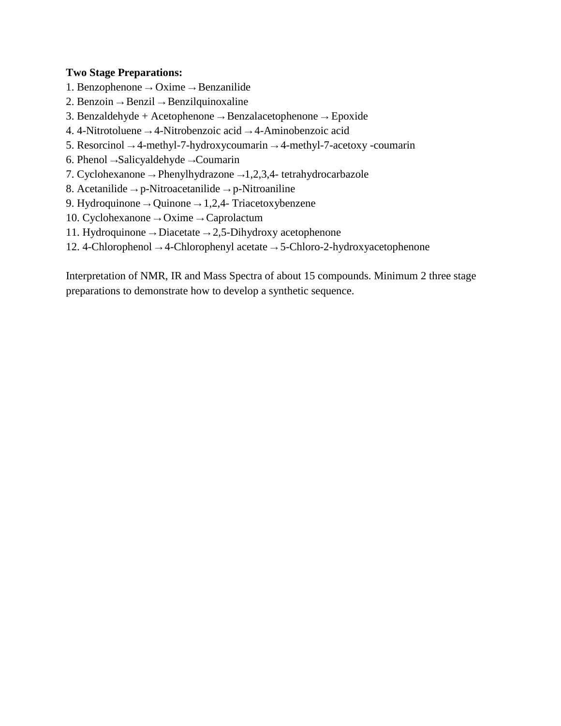### **Two Stage Preparations:**

- 1. Benzophenone → Oxime → Benzanilide
- 2. Benzoin  $\rightarrow$  Benzil  $\rightarrow$  Benzilquinoxaline
- 3. Benzaldehyde + Acetophenone → Benzalacetophenone → Epoxide
- 4. 4-Nitrotoluene → 4-Nitrobenzoic acid → 4-Aminobenzoic acid
- 5. Resorcinol  $\rightarrow$  4-methyl-7-hydroxycoumarin  $\rightarrow$  4-methyl-7-acetoxy -coumarin
- 6. Phenol →Salicyaldehyde →Coumarin
- 7. Cyclohexanone → Phenylhydrazone →1,2,3,4- tetrahydrocarbazole
- 8. Acetanilide  $\rightarrow$  p-Nitroacetanilide  $\rightarrow$  p-Nitroaniline
- 9. Hydroquinone → Quinone → 1,2,4- Triacetoxybenzene
- 10. Cyclohexanone → Oxime → Caprolactum
- 11. Hydroquinone → Diacetate → 2,5-Dihydroxy acetophenone
- 12. 4-Chlorophenol → 4-Chlorophenyl acetate → 5-Chloro-2-hydroxyacetophenone

Interpretation of NMR, IR and Mass Spectra of about 15 compounds. Minimum 2 three stage preparations to demonstrate how to develop a synthetic sequence.